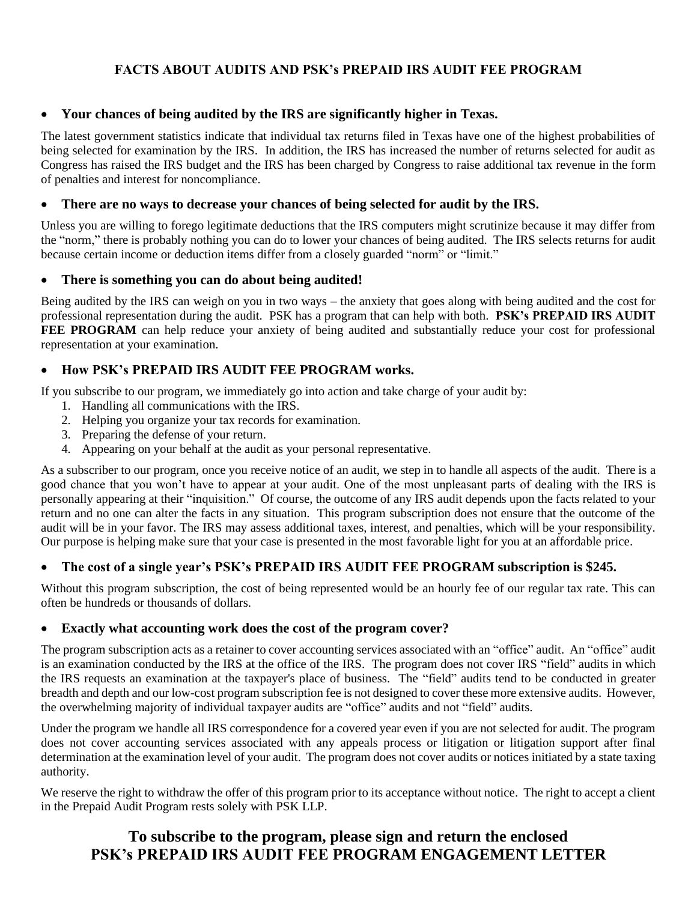# **FACTS ABOUT AUDITS AND PSK's PREPAID IRS AUDIT FEE PROGRAM**

## • **Your chances of being audited by the IRS are significantly higher in Texas.**

The latest government statistics indicate that individual tax returns filed in Texas have one of the highest probabilities of being selected for examination by the IRS. In addition, the IRS has increased the number of returns selected for audit as Congress has raised the IRS budget and the IRS has been charged by Congress to raise additional tax revenue in the form of penalties and interest for noncompliance.

#### • **There are no ways to decrease your chances of being selected for audit by the IRS.**

Unless you are willing to forego legitimate deductions that the IRS computers might scrutinize because it may differ from the "norm," there is probably nothing you can do to lower your chances of being audited. The IRS selects returns for audit because certain income or deduction items differ from a closely guarded "norm" or "limit."

#### • **There is something you can do about being audited!**

Being audited by the IRS can weigh on you in two ways – the anxiety that goes along with being audited and the cost for professional representation during the audit. PSK has a program that can help with both. **PSK's PREPAID IRS AUDIT FEE PROGRAM** can help reduce your anxiety of being audited and substantially reduce your cost for professional representation at your examination.

# • **How PSK's PREPAID IRS AUDIT FEE PROGRAM works.**

If you subscribe to our program, we immediately go into action and take charge of your audit by:

- 1. Handling all communications with the IRS.
- 2. Helping you organize your tax records for examination.
- 3. Preparing the defense of your return.
- 4. Appearing on your behalf at the audit as your personal representative.

As a subscriber to our program, once you receive notice of an audit, we step in to handle all aspects of the audit. There is a good chance that you won't have to appear at your audit. One of the most unpleasant parts of dealing with the IRS is personally appearing at their "inquisition." Of course, the outcome of any IRS audit depends upon the facts related to your return and no one can alter the facts in any situation. This program subscription does not ensure that the outcome of the audit will be in your favor. The IRS may assess additional taxes, interest, and penalties, which will be your responsibility. Our purpose is helping make sure that your case is presented in the most favorable light for you at an affordable price.

## • **The cost of a single year's PSK's PREPAID IRS AUDIT FEE PROGRAM subscription is \$245.**

Without this program subscription, the cost of being represented would be an hourly fee of our regular tax rate. This can often be hundreds or thousands of dollars.

#### • **Exactly what accounting work does the cost of the program cover?**

The program subscription acts as a retainer to cover accounting services associated with an "office" audit. An "office" audit is an examination conducted by the IRS at the office of the IRS. The program does not cover IRS "field" audits in which the IRS requests an examination at the taxpayer's place of business. The "field" audits tend to be conducted in greater breadth and depth and our low-cost program subscription fee is not designed to cover these more extensive audits. However, the overwhelming majority of individual taxpayer audits are "office" audits and not "field" audits.

Under the program we handle all IRS correspondence for a covered year even if you are not selected for audit. The program does not cover accounting services associated with any appeals process or litigation or litigation support after final determination at the examination level of your audit. The program does not cover audits or notices initiated by a state taxing authority.

We reserve the right to withdraw the offer of this program prior to its acceptance without notice. The right to accept a client in the Prepaid Audit Program rests solely with PSK LLP.

# **To subscribe to the program, please sign and return the enclosed PSK's PREPAID IRS AUDIT FEE PROGRAM ENGAGEMENT LETTER**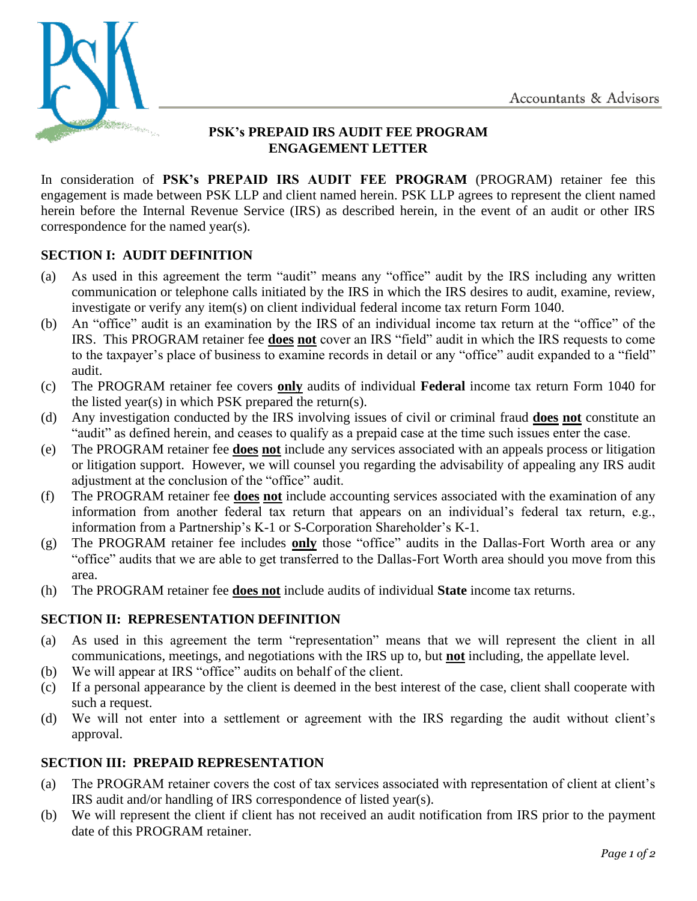

# **PSK's PREPAID IRS AUDIT FEE PROGRAM ENGAGEMENT LETTER**

In consideration of **PSK's PREPAID IRS AUDIT FEE PROGRAM** (PROGRAM) retainer fee this engagement is made between PSK LLP and client named herein. PSK LLP agrees to represent the client named herein before the Internal Revenue Service (IRS) as described herein, in the event of an audit or other IRS correspondence for the named year(s).

# **SECTION I: AUDIT DEFINITION**

- (a) As used in this agreement the term "audit" means any "office" audit by the IRS including any written communication or telephone calls initiated by the IRS in which the IRS desires to audit, examine, review, investigate or verify any item(s) on client individual federal income tax return Form 1040.
- (b) An "office" audit is an examination by the IRS of an individual income tax return at the "office" of the IRS. This PROGRAM retainer fee **does not** cover an IRS "field" audit in which the IRS requests to come to the taxpayer's place of business to examine records in detail or any "office" audit expanded to a "field" audit.
- (c) The PROGRAM retainer fee covers **only** audits of individual **Federal** income tax return Form 1040 for the listed year(s) in which PSK prepared the return(s).
- (d) Any investigation conducted by the IRS involving issues of civil or criminal fraud **does not** constitute an "audit" as defined herein, and ceases to qualify as a prepaid case at the time such issues enter the case.
- (e) The PROGRAM retainer fee **does not** include any services associated with an appeals process or litigation or litigation support. However, we will counsel you regarding the advisability of appealing any IRS audit adjustment at the conclusion of the "office" audit.
- (f) The PROGRAM retainer fee **does not** include accounting services associated with the examination of any information from another federal tax return that appears on an individual's federal tax return, e.g., information from a Partnership's K-1 or S-Corporation Shareholder's K-1.
- (g) The PROGRAM retainer fee includes **only** those "office" audits in the Dallas-Fort Worth area or any "office" audits that we are able to get transferred to the Dallas-Fort Worth area should you move from this area.
- (h) The PROGRAM retainer fee **does not** include audits of individual **State** income tax returns.

## **SECTION II: REPRESENTATION DEFINITION**

- (a) As used in this agreement the term "representation" means that we will represent the client in all communications, meetings, and negotiations with the IRS up to, but **not** including, the appellate level.
- (b) We will appear at IRS "office" audits on behalf of the client.
- (c) If a personal appearance by the client is deemed in the best interest of the case, client shall cooperate with such a request.
- (d) We will not enter into a settlement or agreement with the IRS regarding the audit without client's approval.

## **SECTION III: PREPAID REPRESENTATION**

- (a) The PROGRAM retainer covers the cost of tax services associated with representation of client at client's IRS audit and/or handling of IRS correspondence of listed year(s).
- (b) We will represent the client if client has not received an audit notification from IRS prior to the payment date of this PROGRAM retainer.